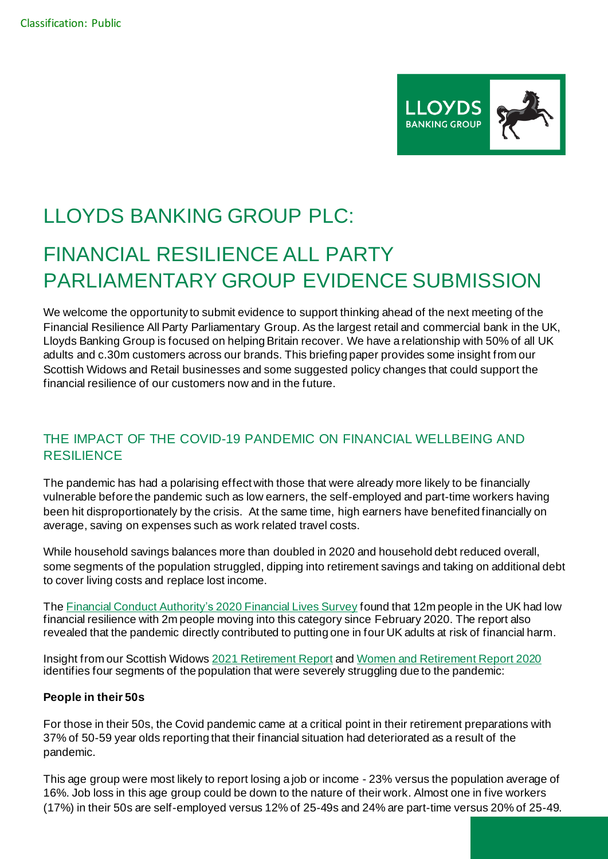

# LLOYDS BANKING GROUP PLC:

## FINANCIAL RESILIENCE ALL PARTY PARLIAMENTARY GROUP EVIDENCE SUBMISSION

We welcome the opportunity to submit evidence to support thinking ahead of the next meeting of the Financial Resilience All Party Parliamentary Group. As the largest retail and commercial bank in the UK, Lloyds Banking Group is focused on helping Britain recover. We have a relationship with 50% of all UK adults and c.30m customers across our brands. This briefing paper provides some insight from our Scottish Widows and Retail businesses and some suggested policy changes that could support the financial resilience of our customers now and in the future.

## THE IMPACT OF THE COVID-19 PANDEMIC ON FINANCIAL WELLBEING AND **RESILIENCF**

The pandemic has had a polarising effect with those that were already more likely to be financially vulnerable before the pandemic such as low earners, the self-employed and part-time workers having been hit disproportionately by the crisis. At the same time, high earners have benefited financially on average, saving on expenses such as work related travel costs.

While household savings balances more than doubled in 2020 and household debt reduced overall, some segments of the population struggled, dipping into retirement savings and taking on additional debt to cover living costs and replace lost income.

Th[e Financial Conduct Authority's 2020 Financial](https://eur02.safelinks.protection.outlook.com/?url=https%3A%2F%2Fwww.fca.org.uk%2Fpublications%2Fresearch%2Ffinancial-lives&data=04%7C01%7CJoanne.J.Johnson%40lloydsbanking.com%7Cac3cdc28a10b4a90af2e08d9eb587947%7C3ded2960214a46ff8cf4611f125e2398%7C0%7C0%7C637799587483506473%7CUnknown%7CTWFpbGZsb3d8eyJWIjoiMC4wLjAwMDAiLCJQIjoiV2luMzIiLCJBTiI6Ik1haWwiLCJXVCI6Mn0%3D%7C3000&sdata=aE9MG0JrfMcCpbj90RD2EoEB4d20BvnkJ2moTbRCmRY%3D&reserved=0) Lives Survey found that 12m people in the UK had low financial resilience with 2m people moving into this category since February 2020. The report also revealed that the pandemic directly contributed to putting one in four UK adults at risk of financial harm.

Insight from our Scottish Widow[s 2021 Retirement Report](https://adviser.scottishwidows.co.uk/assets/literature/docs/60426.pdf) and Women [and Retirement Report 2020](https://adviser.scottishwidows.co.uk/assets/literature/docs/2020-women-retirement-report.pdf) identifies four segments of the population that were severely struggling due to the pandemic:

#### **People in their 50s**

For those in their 50s, the Covid pandemic came at a critical point in their retirement preparations with 37% of 50-59 year olds reporting that their financial situation had deteriorated as a result of the pandemic.

This age group were most likely to report losing a job or income - 23% versus the population average of 16%. Job loss in this age group could be down to the nature of their work. Almost one in five workers (17%) in their 50s are self-employed versus 12% of 25-49s and 24% are part-time versus 20% of 25-49.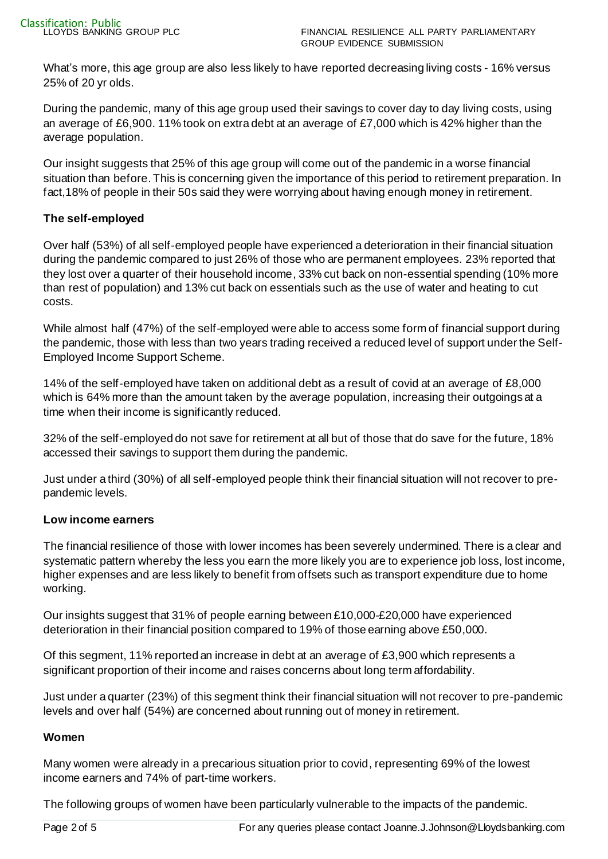What's more, this age group are also less likely to have reported decreasing living costs - 16% versus 25% of 20 yr olds.

During the pandemic, many of this age group used their savings to cover day to day living costs, using an average of £6,900. 11% took on extra debt at an average of £7,000 which is 42% higher than the average population.

Our insight suggests that 25% of this age group will come out of the pandemic in a worse financial situation than before. This is concerning given the importance of this period to retirement preparation. In fact,18% of people in their 50s said they were worrying about having enough money in retirement.

#### **The self-employed**

Over half (53%) of all self-employed people have experienced a deterioration in their financial situation during the pandemic compared to just 26% of those who are permanent employees. 23% reported that they lost over a quarter of their household income, 33% cut back on non-essential spending (10% more than rest of population) and 13% cut back on essentials such as the use of water and heating to cut costs.

While almost half (47%) of the self-employed were able to access some form of financial support during the pandemic, those with less than two years trading received a reduced level of support under the Self-Employed Income Support Scheme.

14% of the self-employed have taken on additional debt as a result of covid at an average of £8,000 which is 64% more than the amount taken by the average population, increasing their outgoings at a time when their income is significantly reduced.

32% of the self-employed do not save for retirement at all but of those that do save for the future, 18% accessed their savings to support them during the pandemic.

Just under a third (30%) of all self-employed people think their financial situation will not recover to prepandemic levels.

#### **Low income earners**

The financial resilience of those with lower incomes has been severely undermined. There is a clear and systematic pattern whereby the less you earn the more likely you are to experience job loss, lost income, higher expenses and are less likely to benefit from offsets such as transport expenditure due to home working.

Our insights suggest that 31% of people earning between £10,000-£20,000 have experienced deterioration in their financial position compared to 19% of those earning above £50,000.

Of this segment, 11% reported an increase in debt at an average of £3,900 which represents a significant proportion of their income and raises concerns about long term affordability.

Just under a quarter (23%) of this segment think their financial situation will not recover to pre-pandemic levels and over half (54%) are concerned about running out of money in retirement.

#### **Women**

Many women were already in a precarious situation prior to covid, representing 69% of the lowest income earners and 74% of part-time workers.

The following groups of women have been particularly vulnerable to the impacts of the pandemic.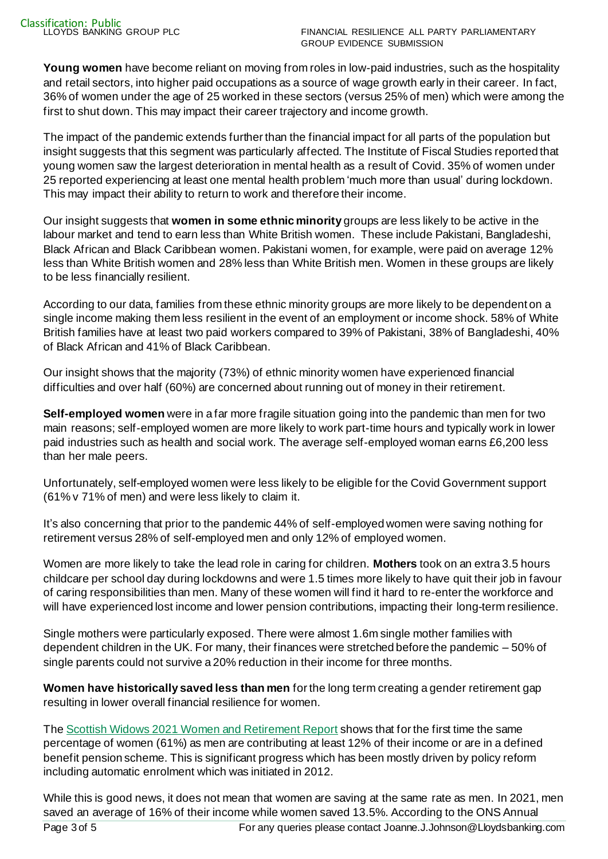**Young women** have become reliant on moving from roles in low-paid industries, such as the hospitality and retail sectors, into higher paid occupations as a source of wage growth early in their career. In fact, 36% of women under the age of 25 worked in these sectors (versus 25% of men) which were among the first to shut down. This may impact their career trajectory and income growth.

The impact of the pandemic extends further than the financial impact for all parts of the population but insight suggests that this segment was particularly affected. The Institute of Fiscal Studies reported that young women saw the largest deterioration in mental health as a result of Covid. 35% of women under 25 reported experiencing at least one mental health problem 'much more than usual' during lockdown. This may impact their ability to return to work and therefore their income.

Our insight suggests that **women in some ethnic minority** groups are less likely to be active in the labour market and tend to earn less than White British women. These include Pakistani, Bangladeshi, Black African and Black Caribbean women. Pakistani women, for example, were paid on average 12% less than White British women and 28% less than White British men. Women in these groups are likely to be less financially resilient.

According to our data, families from these ethnic minority groups are more likely to be dependent on a single income making them less resilient in the event of an employment or income shock. 58% of White British families have at least two paid workers compared to 39% of Pakistani, 38% of Bangladeshi, 40% of Black African and 41% of Black Caribbean.

Our insight shows that the majority (73%) of ethnic minority women have experienced financial difficulties and over half (60%) are concerned about running out of money in their retirement.

**Self-employed women** were in a far more fragile situation going into the pandemic than men for two main reasons; self-employed women are more likely to work part-time hours and typically work in lower paid industries such as health and social work. The average self-employed woman earns £6,200 less than her male peers.

Unfortunately, self-employed women were less likely to be eligible for the Covid Government support (61% v 71% of men) and were less likely to claim it.

It's also concerning that prior to the pandemic 44% of self-employed women were saving nothing for retirement versus 28% of self-employed men and only 12% of employed women.

Women are more likely to take the lead role in caring for children. **Mothers** took on an extra 3.5 hours childcare per school day during lockdowns and were 1.5 times more likely to have quit their job in favour of caring responsibilities than men. Many of these women will find it hard to re-enter the workforce and will have experienced lost income and lower pension contributions, impacting their long-term resilience.

Single mothers were particularly exposed. There were almost 1.6m single mother families with dependent children in the UK. For many, their finances were stretched before the pandemic – 50% of single parents could not survive a 20% reduction in their income for three months.

**Women have historically saved less than men** for the long term creating a gender retirement gap resulting in lower overall financial resilience for women.

The [Scottish Widows 2021 Women and Retirement Report](https://adviser.scottishwidows.co.uk/assets/literature/docs/60528.pdf) shows that for the first time the same percentage of women (61%) as men are contributing at least 12% of their income or are in a defined benefit pension scheme. This is significant progress which has been mostly driven by policy reform including automatic enrolment which was initiated in 2012.

While this is good news, it does not mean that women are saving at the same rate as men. In 2021, men saved an average of 16% of their income while women saved 13.5%. According to the ONS Annual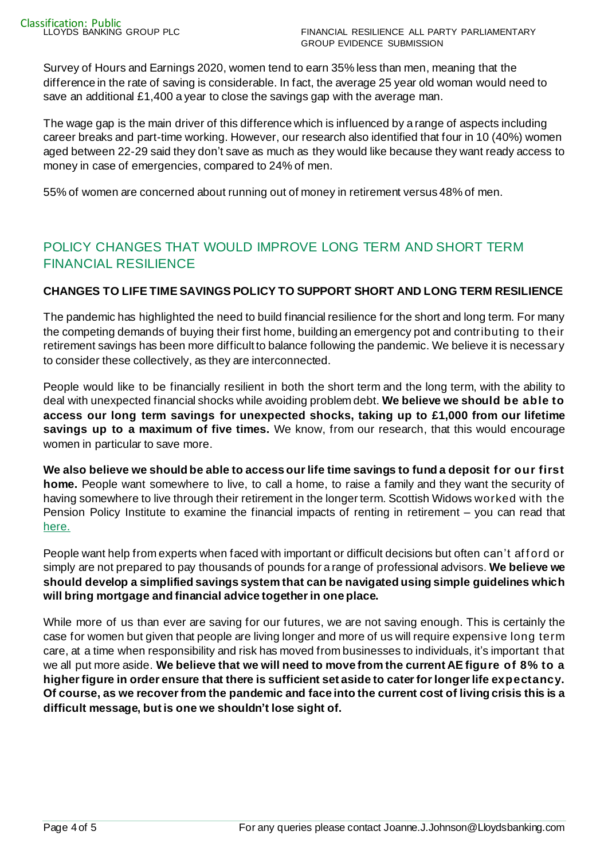Survey of Hours and Earnings 2020, women tend to earn 35% less than men, meaning that the difference in the rate of saving is considerable. In fact, the average 25 year old woman would need to save an additional £1,400 a year to close the savings gap with the average man.

The wage gap is the main driver of this difference which is influenced by a range of aspects including career breaks and part-time working. However, our research also identified that four in 10 (40%) women aged between 22-29 said they don't save as much as they would like because they want ready access to money in case of emergencies, compared to 24% of men.

55% of women are concerned about running out of money in retirement versus 48% of men.

### POLICY CHANGES THAT WOULD IMPROVE LONG TERM AND SHORT TERM FINANCIAL RESILIENCE

#### **CHANGES TO LIFE TIME SAVINGS POLICY TO SUPPORT SHORT AND LONG TERM RESILIENCE**

The pandemic has highlighted the need to build financial resilience for the short and long term. For many the competing demands of buying their first home, building an emergency pot and contributing to their retirement savings has been more difficult to balance following the pandemic. We believe it is necessary to consider these collectively, as they are interconnected.

People would like to be financially resilient in both the short term and the long term, with the ability to deal with unexpected financial shocks while avoiding problem debt. **We believe we should be able to access our long term savings for unexpected shocks, taking up to £1,000 from our lifetime savings up to a maximum of five times.** We know, from our research, that this would encourage women in particular to save more.

**We also believe we should be able to access our life time savings to fund a deposit for our first home.** People want somewhere to live, to call a home, to raise a family and they want the security of having somewhere to live through their retirement in the longer term. Scottish Widows worked with the Pension Policy Institute to examine the financial impacts of renting in retirement – you can read that [here.](https://www.pensionspolicyinstitute.org.uk/sponsor-research/research-reports/2020/2020-03-18-to-buy-or-not-to-buy-the-changing-landscape-of-housing-in-retirement/)

People want help from experts when faced with important or difficult decisions but often can't aff ord or simply are not prepared to pay thousands of pounds for a range of professional advisors. **We believe we should develop a simplified savings system that can be navigated using simple guidelines which will bring mortgage and financial advice togetherin one place.**

While more of us than ever are saving for our futures, we are not saving enough. This is certainly the case for women but given that people are living longer and more of us will require expensive long term care, at a time when responsibility and risk has moved from businesses to individuals, it's important that we all put more aside. **We believe that we will need to move from the current AE figure of 8% to a higher figure in order ensure that there is sufficient set aside to cater for longer life expectancy. Of course, as we recover from the pandemic and face into the current cost of living crisis this is a difficult message, but is one we shouldn't lose sight of.**